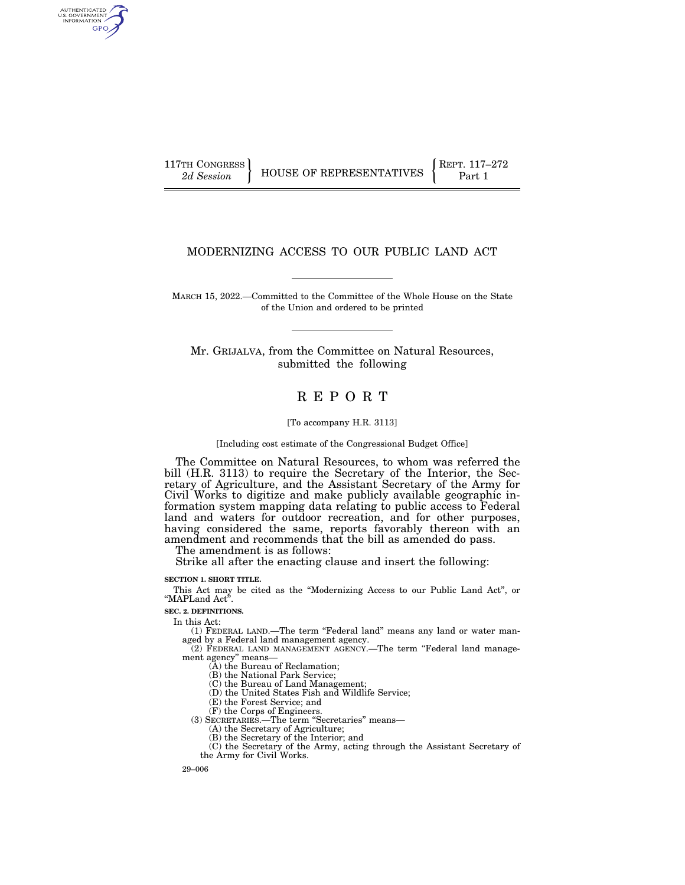AUTHENTICATED<br>U.S. GOVERNMENT<br>INFORMATION GPO

## MODERNIZING ACCESS TO OUR PUBLIC LAND ACT

MARCH 15, 2022.—Committed to the Committee of the Whole House on the State of the Union and ordered to be printed

Mr. GRIJALVA, from the Committee on Natural Resources, submitted the following

# R E P O R T

## [To accompany H.R. 3113]

### [Including cost estimate of the Congressional Budget Office]

The Committee on Natural Resources, to whom was referred the bill (H.R. 3113) to require the Secretary of the Interior, the Secretary of Agriculture, and the Assistant Secretary of the Army for Civil Works to digitize and make publicly available geographic information system mapping data relating to public access to Federal land and waters for outdoor recreation, and for other purposes, having considered the same, reports favorably thereon with an amendment and recommends that the bill as amended do pass.

The amendment is as follows:

Strike all after the enacting clause and insert the following:

### **SECTION 1. SHORT TITLE.**

This Act may be cited as the ''Modernizing Access to our Public Land Act'', or ''MAPLand Act''.

**SEC. 2. DEFINITIONS.** 

In this Act:

(1) FEDERAL LAND.—The term ''Federal land'' means any land or water man-aged by a Federal land management agency.

 $(2)$  FEDERAL LAND MANAGEMENT AGENCY.—The term "Federal land management agency'' means—

(A) the Bureau of Reclamation;

(B) the National Park Service;

(C) the Bureau of Land Management; (D) the United States Fish and Wildlife Service;

(E) the Forest Service; and

(F) the Corps of Engineers.

(3) SECRETARIES.—The term ''Secretaries'' means—

(A) the Secretary of Agriculture;

(B) the Secretary of the Interior; and

(C) the Secretary of the Army, acting through the Assistant Secretary of the Army for Civil Works.

29–006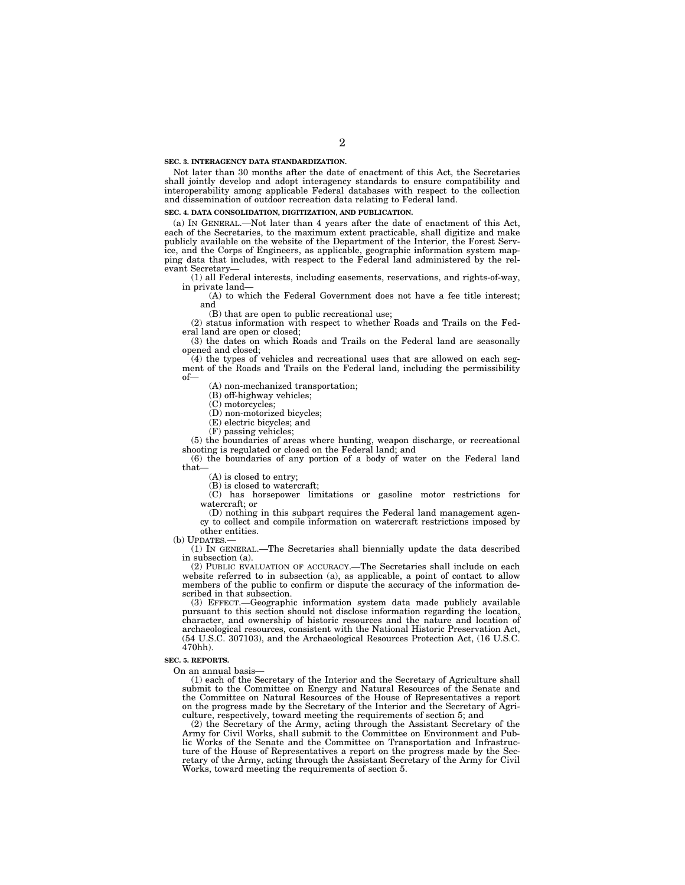#### **SEC. 3. INTERAGENCY DATA STANDARDIZATION.**

Not later than 30 months after the date of enactment of this Act, the Secretaries shall jointly develop and adopt interagency standards to ensure compatibility and interoperability among applicable Federal databases with respect to the collection and dissemination of outdoor recreation data relating to Federal land.

### **SEC. 4. DATA CONSOLIDATION, DIGITIZATION, AND PUBLICATION.**

(a) IN GENERAL.—Not later than 4 years after the date of enactment of this Act, each of the Secretaries, to the maximum extent practicable, shall digitize and make publicly available on the website of the Department of the Interior, the Forest Service, and the Corps of Engineers, as applicable, geographic information system mapping data that includes, with respect to the Federal land administered by the relevant Secretary—

(1) all Federal interests, including easements, reservations, and rights-of-way, in private land—

(A) to which the Federal Government does not have a fee title interest; and

(B) that are open to public recreational use;

(2) status information with respect to whether Roads and Trails on the Federal land are open or closed;

(3) the dates on which Roads and Trails on the Federal land are seasonally opened and closed;

(4) the types of vehicles and recreational uses that are allowed on each segment of the Roads and Trails on the Federal land, including the permissibility of—

(A) non-mechanized transportation;

(B) off-highway vehicles;

(C) motorcycles;

(D) non-motorized bicycles;

(E) electric bicycles; and

(F) passing vehicles;

(5) the boundaries of areas where hunting, weapon discharge, or recreational shooting is regulated or closed on the Federal land; and

(6) the boundaries of any portion of a body of water on the Federal land that—

(A) is closed to entry;

(B) is closed to watercraft;

(C) has horsepower limitations or gasoline motor restrictions for watercraft; or

(D) nothing in this subpart requires the Federal land management agency to collect and compile information on watercraft restrictions imposed by other entities.

(b) UPDATES.—

(1) IN GENERAL.—The Secretaries shall biennially update the data described in subsection (a).

(2) PUBLIC EVALUATION OF ACCURACY.—The Secretaries shall include on each website referred to in subsection (a), as applicable, a point of contact to allow members of the public to confirm or dispute the accuracy of the information described in that subsection.

(3) EFFECT.—Geographic information system data made publicly available pursuant to this section should not disclose information regarding the location, character, and ownership of historic resources and the nature and location of archaeological resources, consistent with the National Historic Preservation Act, (54 U.S.C. 307103), and the Archaeological Resources Protection Act, (16 U.S.C. 470hh).

## **SEC. 5. REPORTS.**

On an annual basis—

(1) each of the Secretary of the Interior and the Secretary of Agriculture shall submit to the Committee on Energy and Natural Resources of the Senate and the Committee on Natural Resources of the House of Representatives a report on the progress made by the Secretary of the Interior and the Secretary of Agriculture, respectively, toward meeting the requirements of section 5; and

(2) the Secretary of the Army, acting through the Assistant Secretary of the Army for Civil Works, shall submit to the Committee on Environment and Public Works of the Senate and the Committee on Transportation and Infrastructure of the House of Representatives a report on the progress made by the Secretary of the Army, acting through the Assistant Secretary of the Army for Civil Works, toward meeting the requirements of section 5.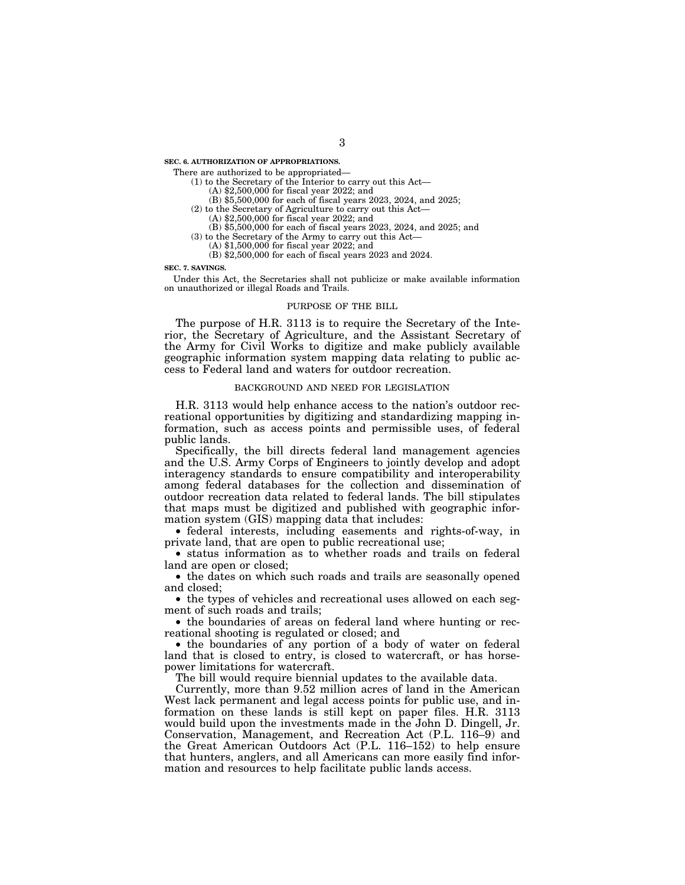**SEC. 6. AUTHORIZATION OF APPROPRIATIONS.** 

There are authorized to be appropriated—

(1) to the Secretary of the Interior to carry out this Act—

- (A) \$2,500,000 for fiscal year 2022; and
- (B) \$5,500,000 for each of fiscal years 2023, 2024, and 2025;
- (2) to the Secretary of Agriculture to carry out this Act— (A) \$2,500,000 for fiscal year 2022; and
	-
- (B) \$5,500,000 for each of fiscal years 2023, 2024, and 2025; and (3) to the Secretary of the Army to carry out this Act—
	-
	- (A) \$1,500,000 for fiscal year 2022; and
	- (B) \$2,500,000 for each of fiscal years 2023 and 2024.

#### **SEC. 7. SAVINGS.**

Under this Act, the Secretaries shall not publicize or make available information on unauthorized or illegal Roads and Trails.

### PURPOSE OF THE BILL

The purpose of H.R. 3113 is to require the Secretary of the Interior, the Secretary of Agriculture, and the Assistant Secretary of the Army for Civil Works to digitize and make publicly available geographic information system mapping data relating to public access to Federal land and waters for outdoor recreation.

### BACKGROUND AND NEED FOR LEGISLATION

H.R. 3113 would help enhance access to the nation's outdoor recreational opportunities by digitizing and standardizing mapping information, such as access points and permissible uses, of federal public lands.

Specifically, the bill directs federal land management agencies and the U.S. Army Corps of Engineers to jointly develop and adopt interagency standards to ensure compatibility and interoperability among federal databases for the collection and dissemination of outdoor recreation data related to federal lands. The bill stipulates that maps must be digitized and published with geographic information system (GIS) mapping data that includes:

• federal interests, including easements and rights-of-way, in private land, that are open to public recreational use;

• status information as to whether roads and trails on federal land are open or closed;

• the dates on which such roads and trails are seasonally opened and closed;

• the types of vehicles and recreational uses allowed on each segment of such roads and trails;

• the boundaries of areas on federal land where hunting or recreational shooting is regulated or closed; and

• the boundaries of any portion of a body of water on federal land that is closed to entry, is closed to watercraft, or has horsepower limitations for watercraft.

The bill would require biennial updates to the available data.

Currently, more than 9.52 million acres of land in the American West lack permanent and legal access points for public use, and information on these lands is still kept on paper files. H.R. 3113 would build upon the investments made in the John D. Dingell, Jr. Conservation, Management, and Recreation Act (P.L. 116–9) and the Great American Outdoors Act (P.L. 116–152) to help ensure that hunters, anglers, and all Americans can more easily find information and resources to help facilitate public lands access.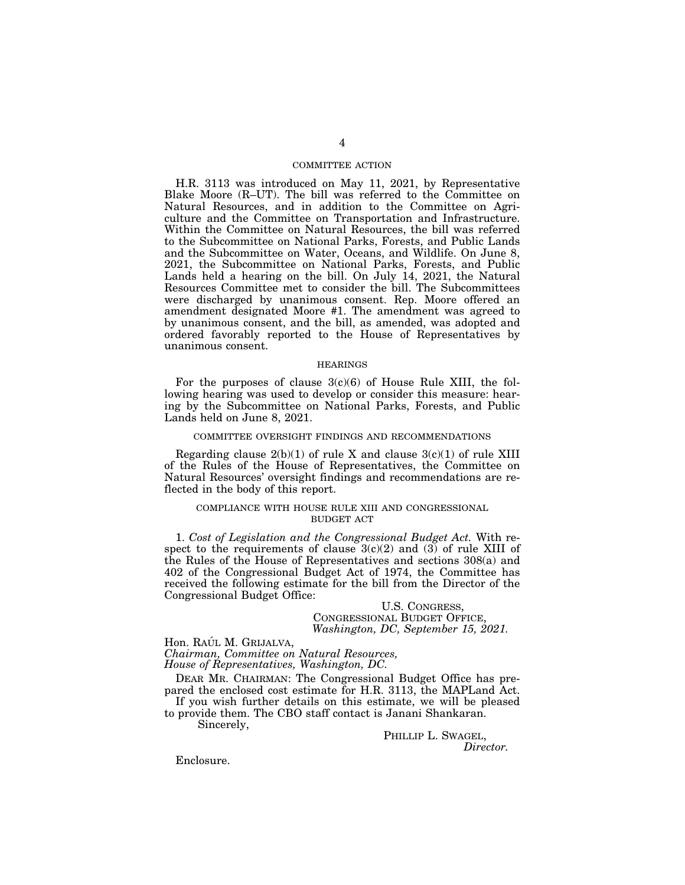## COMMITTEE ACTION

H.R. 3113 was introduced on May 11, 2021, by Representative Blake Moore (R–UT). The bill was referred to the Committee on Natural Resources, and in addition to the Committee on Agriculture and the Committee on Transportation and Infrastructure. Within the Committee on Natural Resources, the bill was referred to the Subcommittee on National Parks, Forests, and Public Lands and the Subcommittee on Water, Oceans, and Wildlife. On June 8, 2021, the Subcommittee on National Parks, Forests, and Public Lands held a hearing on the bill. On July 14, 2021, the Natural Resources Committee met to consider the bill. The Subcommittees were discharged by unanimous consent. Rep. Moore offered an amendment designated Moore #1. The amendment was agreed to by unanimous consent, and the bill, as amended, was adopted and ordered favorably reported to the House of Representatives by unanimous consent.

#### HEARINGS

For the purposes of clause  $3(c)(6)$  of House Rule XIII, the following hearing was used to develop or consider this measure: hearing by the Subcommittee on National Parks, Forests, and Public Lands held on June 8, 2021.

## COMMITTEE OVERSIGHT FINDINGS AND RECOMMENDATIONS

Regarding clause  $2(b)(1)$  of rule X and clause  $3(c)(1)$  of rule XIII of the Rules of the House of Representatives, the Committee on Natural Resources' oversight findings and recommendations are reflected in the body of this report.

## COMPLIANCE WITH HOUSE RULE XIII AND CONGRESSIONAL BUDGET ACT

1. *Cost of Legislation and the Congressional Budget Act.* With respect to the requirements of clause 3(c)(2) and (3) of rule XIII of the Rules of the House of Representatives and sections 308(a) and 402 of the Congressional Budget Act of 1974, the Committee has received the following estimate for the bill from the Director of the Congressional Budget Office:

U.S. CONGRESS, CONGRESSIONAL BUDGET OFFICE, *Washington, DC, September 15, 2021.* 

Hon. RAÚL M. GRIJALVA, *Chairman, Committee on Natural Resources,* 

*House of Representatives, Washington, DC.* 

DEAR MR. CHAIRMAN: The Congressional Budget Office has prepared the enclosed cost estimate for H.R. 3113, the MAPLand Act. If you wish further details on this estimate, we will be pleased

to provide them. The CBO staff contact is Janani Shankaran.

Sincerely,

PHILLIP L. SWAGEL,<br>*Director.* 

Enclosure.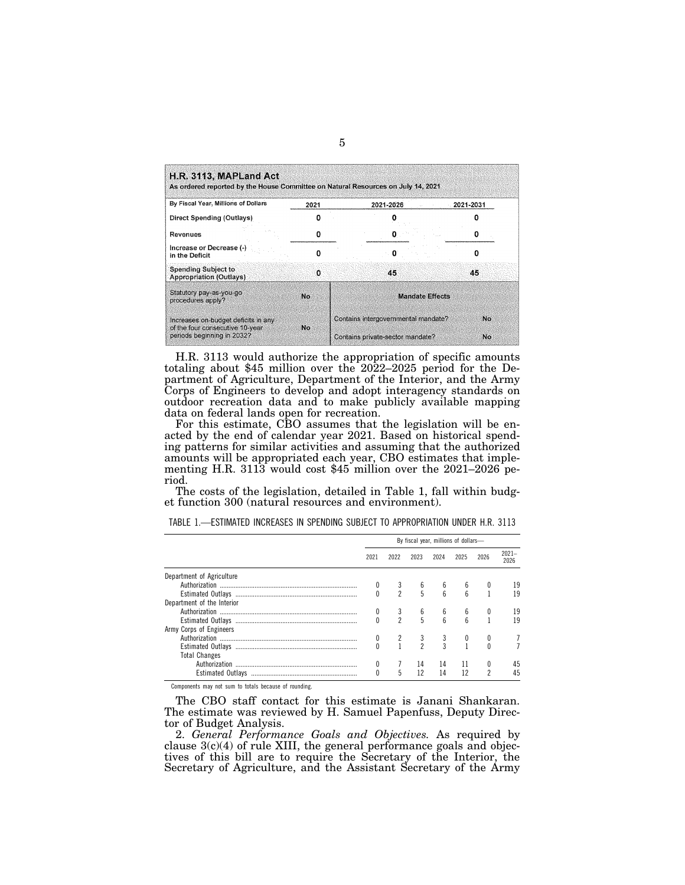| By Fiscal Year, Millions of Dollars                                     | 2021 | 2021-2026                           | 2021-2031 |  |  |  |
|-------------------------------------------------------------------------|------|-------------------------------------|-----------|--|--|--|
| Direct Spending (Outlays)                                               |      |                                     |           |  |  |  |
| <b>Revenues</b>                                                         |      |                                     |           |  |  |  |
| Increase or Decrease (-)<br>in the Deficit                              |      |                                     | n         |  |  |  |
| <b>Spending Subject to</b><br><b>Appropriation (Outlays)</b>            | o    | 45                                  | 45        |  |  |  |
| Statutory pay-as-you-go<br>procedures apply?                            | No.  | <b>Mandate Effects</b>              |           |  |  |  |
| Increases on-budget deficits in any<br>of the four consecutive 10-year. | No.  | Contains intergovernmental mandate? | No        |  |  |  |
| periods beginning in 2032?                                              |      | Contains private-sector mandate?    | No        |  |  |  |

H.R. 3113 would authorize the appropriation of specific amounts totaling about \$45 million over the 2022–2025 period for the Department of Agriculture, Department of the Interior, and the Army Corps of Engineers to develop and adopt interagency standards on outdoor recreation data and to make publicly available mapping data on federal lands open for recreation.

For this estimate, CBO assumes that the legislation will be enacted by the end of calendar year 2021. Based on historical spending patterns for similar activities and assuming that the authorized amounts will be appropriated each year, CBO estimates that implementing H.R. 3113 would cost \$45 million over the 2021–2026 period.

The costs of the legislation, detailed in Table 1, fall within budget function 300 (natural resources and environment).

|                            | By fiscal year, millions of dollars- |                |                |      |      |                |                  |  |
|----------------------------|--------------------------------------|----------------|----------------|------|------|----------------|------------------|--|
|                            | 2021                                 | 2022           | 2023           | 2024 | 2025 | 2026           | $2021 -$<br>2026 |  |
| Department of Agriculture  |                                      |                |                |      |      |                |                  |  |
|                            |                                      |                | 6              | 6    | 6    |                | 19               |  |
|                            |                                      | $\mathfrak{p}$ | 5              | ĥ    |      |                | 19               |  |
| Department of the Interior |                                      |                |                |      |      |                |                  |  |
|                            |                                      |                | 6              | 6    | 6    |                | 19               |  |
|                            |                                      | $\mathfrak{p}$ | 5              | ĥ    |      |                | 19               |  |
| Army Corps of Engineers    |                                      |                |                |      |      |                |                  |  |
|                            |                                      |                | 3              | 3    | 0    | 0              |                  |  |
|                            |                                      |                | $\mathfrak{p}$ | 3    |      |                |                  |  |
| <b>Total Changes</b>       |                                      |                |                |      |      |                |                  |  |
|                            |                                      |                | 14             | 14   | 11   | 0              | 45               |  |
|                            |                                      | 5              | 12             | 14   | 12   | $\mathfrak{p}$ | 45               |  |

TABLE 1.—ESTIMATED INCREASES IN SPENDING SUBJECT TO APPROPRIATION UNDER H.R. 3113

Components may not sum to totals because of rounding.

The CBO staff contact for this estimate is Janani Shankaran. The estimate was reviewed by H. Samuel Papenfuss, Deputy Director of Budget Analysis.

2. *General Performance Goals and Objectives.* As required by clause  $3(c)(4)$  of rule XIII, the general performance goals and objectives of this bill are to require the Secretary of the Interior, the Secretary of Agriculture, and the Assistant Secretary of the Army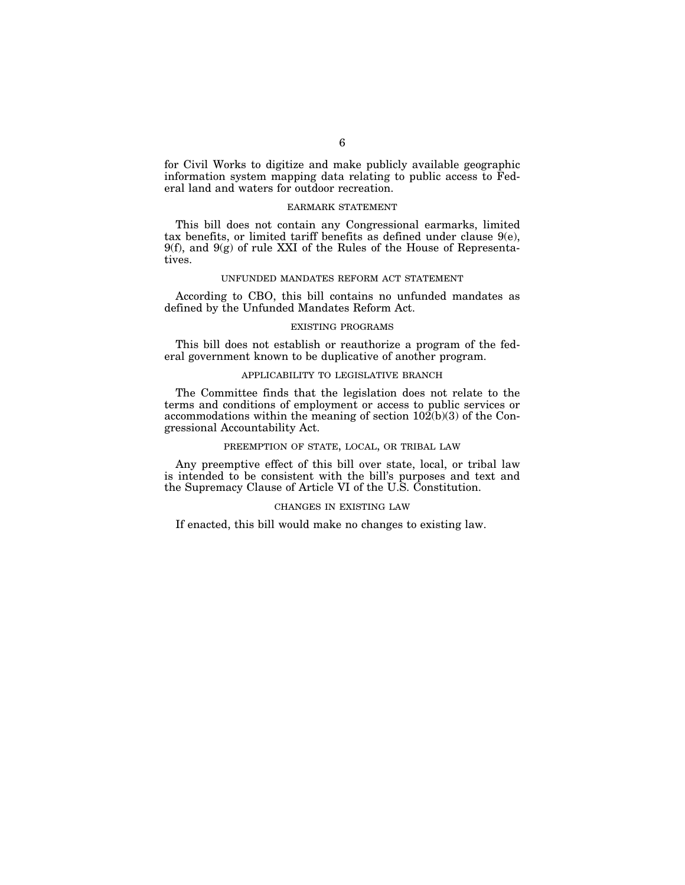for Civil Works to digitize and make publicly available geographic information system mapping data relating to public access to Federal land and waters for outdoor recreation.

## EARMARK STATEMENT

This bill does not contain any Congressional earmarks, limited tax benefits, or limited tariff benefits as defined under clause 9(e), 9(f), and 9(g) of rule XXI of the Rules of the House of Representatives.

## UNFUNDED MANDATES REFORM ACT STATEMENT

According to CBO, this bill contains no unfunded mandates as defined by the Unfunded Mandates Reform Act.

## EXISTING PROGRAMS

This bill does not establish or reauthorize a program of the federal government known to be duplicative of another program.

## APPLICABILITY TO LEGISLATIVE BRANCH

The Committee finds that the legislation does not relate to the terms and conditions of employment or access to public services or accommodations within the meaning of section 102(b)(3) of the Congressional Accountability Act.

## PREEMPTION OF STATE, LOCAL, OR TRIBAL LAW

Any preemptive effect of this bill over state, local, or tribal law is intended to be consistent with the bill's purposes and text and the Supremacy Clause of Article VI of the U.S. Constitution.

## CHANGES IN EXISTING LAW

If enacted, this bill would make no changes to existing law.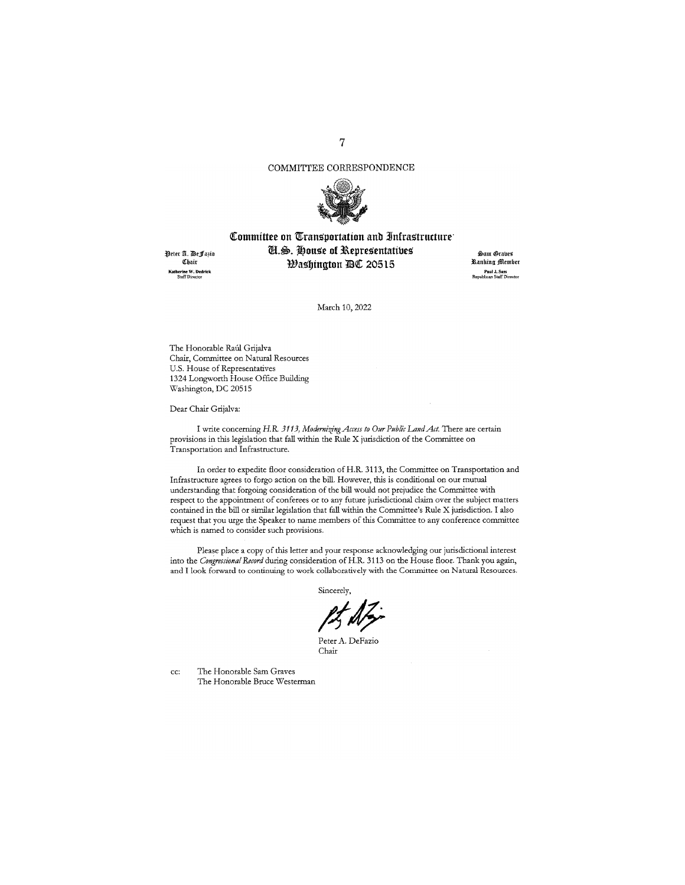## COMMITTEE CORRESPONDENCE



# Committee on Transportation and Infrastructure<sup>.</sup> *U.S. House of Representatives*

Peter A. DeFa3io Chair **Katherine W. Dedrick**<br>Staff Director

*Washington DC 20515* 

s!>am ®rabei **~anking :ffl\_cmbcr Paul J. Sass<br>Republican Staff Director** 

March 10, 2022

The Honorable Raúl Grijalva Chair, Committee on Natural Resources U.S. House of Representatives 1324 Longworth House Office Building Washington, DC 20515

Dear Chair Grijalva:

I write concerning *H.R. 3113, Modernizing Access to Our Public Land Act*. There are certain provisions in this legislation that fall within the Rule X jurisdiction of the Committee on Transportation and Infrastructure.

In order to expedite floor consideration of H.R. 3113, the Committee on Transportation and Infrastructure agrees to forgo action on the bill. However, this is conditional on our mutual understanding that forgoing consideration of the bill would not prejudice the Committee with respect to tbe appointment of conferees or to any future jurisdictional claim over the subject matters contained in the bill or similar legislation tbat fall within the Committee's Rule X jurisdiction. I also request tbat you urge the Speaker to name members of this Committee to any conference committee which is named to consider such provisions.

Please place a copy of this letter and your response acknowledging our jurisdictional interest into the *Congressional Record* during consideration of H.R. 3113 on the House floor. Thank you again, and I look forward to continuing to work collaboratively with the Committee on Natural Resources.

Sincerely,

Peter A. DeFazio Chair

cc: The Honorable Sam Graves The Honorable Bruce Westerman 7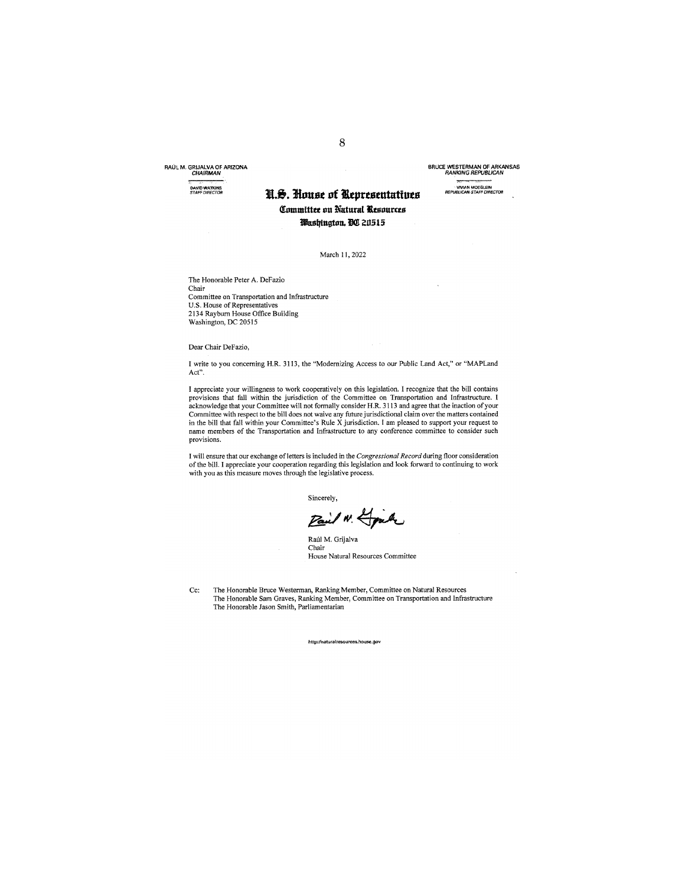RAUL M. GRIJALVA OF ARIZONA CHAIRMAN

**DAVID WATKINS**<br>**STAFF DIRECTOR** 

# **STAFFDIRFCTOR 11t.8'. Jhtust Df tllq,rtstntutiuts Committee on Natural Resources Washington. BO 20515**

BRUCE WESTERMAN OF ARKANSAS RANKING REPUBLICAN **VMANMOEGLEfN REPUBtJCAN STAFF DIRECTOR** 

March 11, 2022

The Honorable Peter A. Defazio Chair Committee on Transportation and Infrastructure U.S. House of Representatives 2134 Rayburn House Office Building Washington, DC 20515

Dear Chair Defazio,

I write to you concerning H.R. 3113, the "Modernizing Access to our Public Land Act," or "MAPLand Act".

I appreciate your willingness to work cooperatively on this legislation. I recognize that the bill contains provisions that fall within the jurisdiction of the Committee on Transportation and Infrastructure. I<br>acknowledge that your Committee will not formally consider H.R. 3113 and agree that the inaction of your<br>Committee with **name members of the Transportation and Infrastructure to any conference committee to consider such provisions.** 

I will ensure that our exchange of letters is included in the Congressional Record during floor consideration<br>of the bill. I appreciate your cooperation regarding this legislation and look forward to continuing to work with you as this measure moves through the legislative process.

**Sincerely,** 

Pail N. Houk

Raúl M. Grijalva Chair **House Natural Resources Committee** 

Cc: The Honorable Bruce Westerman, Ranking Member, Committee on Natural Resources The Honorable Sam Graves, Ranking Member, Committee on Transportation and Infrastructure The Honorable Jason Smith, Parliamentarian

**httpjfnatura!resources.house.gov**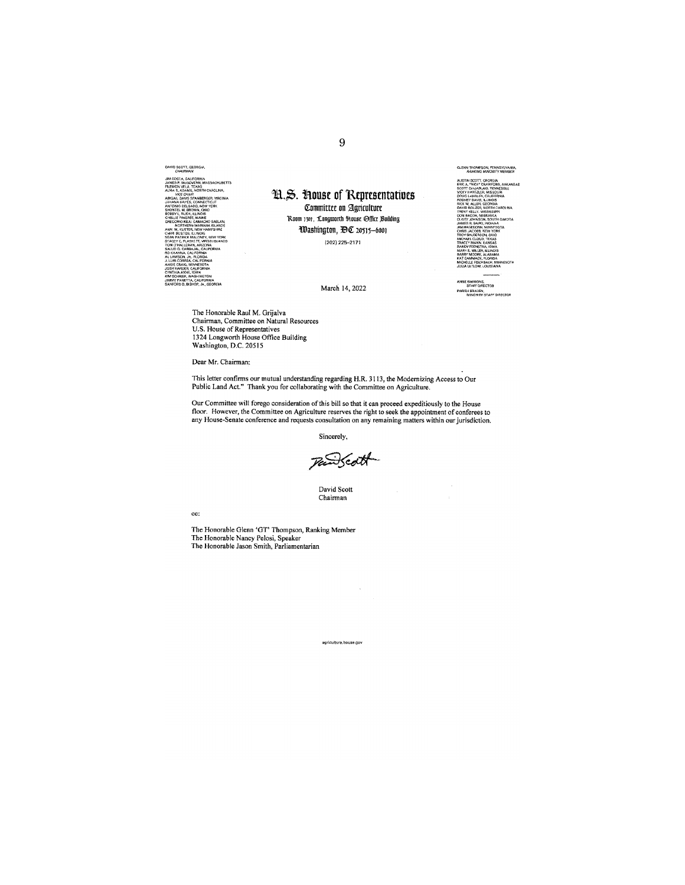DAVID SCOTT, GEORGIA JIM COSTA, CALIFORNIA<br>JAMES P. MCGOVERN, MASSACHUSETTS<br>FILEMON VELA, TEXAS<br>ALMA S. ADAMS, NORTH CAROLINA, , ADAMS, NORTH CHANGE.<br>CE CHAIR<br>CE CHAIR<br>LIAVIS, CONNECTICUT<br>LIAVES, CONNECTICUT **ILLINOIS**<br>E, MAINE SABLAN<br>SLANDS<br>'SHRAC YUIS<br>DNEY, NEW YORK<br>F, VIRGIN ISLANDS nav

**STON** 

H.S. House of Representatives Committee on Agriculture Room 1301, Longworth House Office Building Washington, DC 20515-6001 (202) 225-2171

March 14, 2022



ANNE SIMMONS,<br>STAFF DIRECTOR PARISH BRADEN,<br>MINORITY STAFF DIRECTOR

The Honorable Raul M. Grijalva Chairman, Committee on Natural Resources<br>U.S. House of Representatives<br>1324 Longworth House Office Building Washington, D.C. 20515

Dear Mr. Chairman:

This letter confirms our mutual understanding regarding H.R. 3113, the Modernizing Access to Our Public Land Act." Thank you for collaborating with the Committee on Agriculture.

Our Committee will forego consideration of this bill so that it can proceed expeditiously to the House<br>floor. However, the Committee on Agriculture reserves the right to seek the appointment of conferees to<br>any House-Senat

Sincerely,

Pantott

David Scott Chairman

 $cc$ :

The Honorable Glenn 'GT' Thompson, Ranking Member<br>The Honorable Nancy Pelosi, Speaker<br>The Honorable Jason Smith, Parliamentarian

agriculture, house.gov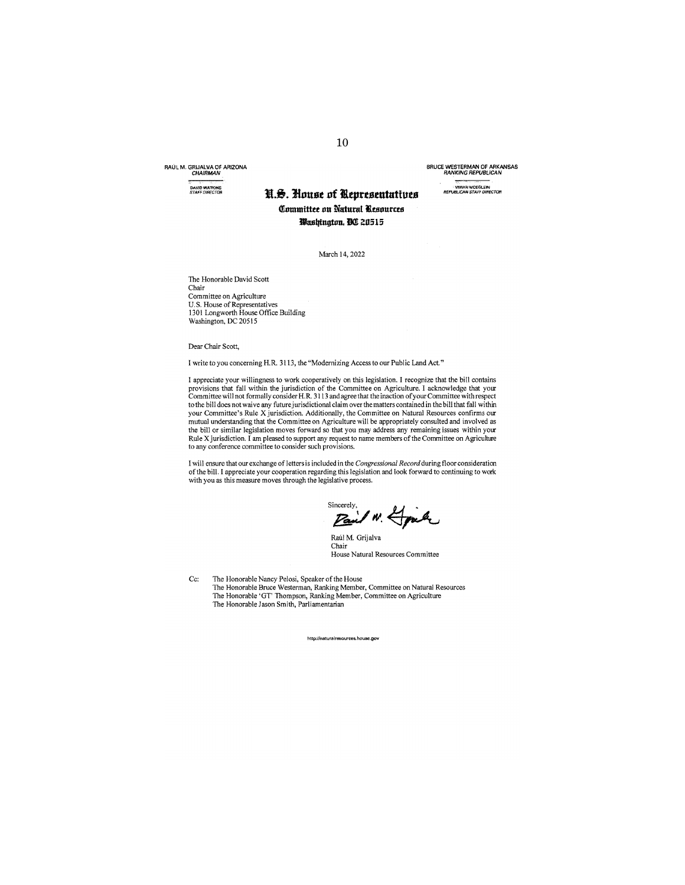RAUL M. GRIJALVA OF ARIZONA CHAIRMAN

**DAVID WATKINS**<br>**STAFF DIRECTOR** 

# **STAFFfYIRECTTJR Jt.&. Jlnust of lltprtstntatiuu Ofummttttt un Natural iksnuras llasltfngtun. lll(!! 2ll515**

March 14, 2022

The Honorable David Scott Chair Committee on Agriculture U.S. House of Representatives 1301 Longworth House Office Building Washington, DC 20515

Dear Chair Scott,

I write to you concerning H.R. 3113, the "Modernizing Access to our Public Land Act."

I appreciate your willingness to work cooperatively on this legislation. I recognize that the bill contains<br>provisions that fall within the jurisdiction of the Committee on Agriculture. I acknowledge that your<br>Committee wi to the bill does not waive any future jurisdictional claim over the matters contained in the bill that fall within your Committee's Rule X jurisdiction. Additionally, the Committee on Natural Resources confirms our mutual understanding that the Committee on Agriculture will be appropriately consulted and involved as the bill or similar legislation moves forward so that you may address any remaining issues within your Rule Xjurisdiction. I am pleased to support any request to name members of the Committee on Agriculture **to any conference committee to consider such provisions.** 

I will ensure that our exchange of letters is included in the *Congressional Record* during floor consideration of the bill. I appreciate your cooperation regarding this legislation and look forward to continuing to work with you as this measure moves through the legislative process.

Sincerely, IN Grah

Raúl M. Grijalva Chair **House Natural Resources Committee** 

Cc: The Honorable Nancy Pelosi, Speaker of the House The Honorable Bruce Westerman, Ranking Member, Committee on Natural Resources The Honorable 'GT' Thompson, Ranking Member, Committee on Agriculture The Honorable Jason Smith, Parliamentarian

**http:1/natura!resaun::es:. house.gov** 

BRUCE WESTERMAN OF ARKANSAS RANKING REPUBLICAN **VMAN MOEGLEtN REPU8LJCAN STAFF DiRECTOR**